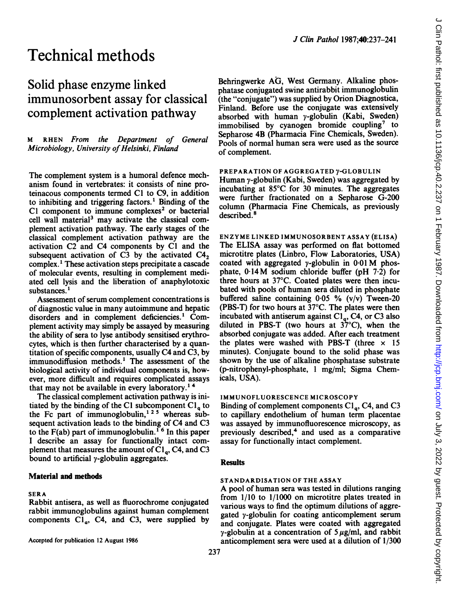# Solid phase enzyme linked immunosorbent assay for classical complement activation pathway

M RHEN From the Department of General Microbiology, University of Helsinki, Finland

The complement system is a humoral defence mechanism found in vertebrates: it consists of nine proteinacous components termed Cl to C9, in addition to inhibiting and triggering factors.' Binding of the  $C1$  component to immune complexes<sup>2</sup> or bacterial cell wall material<sup>3</sup> may activate the classical complement activation pathway. The early stages of the classical complement activation pathway are the activation C2 and C4 components by Cl and the subsequent activation of C3 by the activated  $C4<sub>2</sub>$ complex. ' These activation steps precipitate a cascade of molecular events, resulting in complement mediated cell lysis and the liberation of anaphylotoxic substances.<sup>1</sup>

Assessment of serum complement concentrations is of diagnostic value in many autoimmune and hepatic disorders and in complement deficiencies.' Complement activity may simply be assayed by measuring the ability of sera to lyse antibody sensitised erythrocytes, which is then further characterised by a quantitation of specific components, usually C4 and C3, by immunodiffusion methods.' The assessment of the biological activity of individual components is, however, more difficult and requires complicated assays that may not be available in every laboratory.<sup>14</sup>

The classical complement activation pathway is initiated by the binding of the CI subcomponent  $Cl<sub>a</sub>$  to the Fc part of immunoglobulin,<sup>125</sup> whereas subsequent activation leads to the binding of C4 and C3 to the F(ab) part of immunoglobulin.<sup>16</sup> In this paper <sup>I</sup> describe an assay for functionally intact complement that measures the amount of  $Cl<sub>q</sub>$ , C4, and C3 bound to artificial  $\gamma$ -globulin aggregates.

## Material and methods

#### SERA

Rabbit antisera, as well as fluorochrome conjugated rabbit immunoglobulins against human complement components  $CI_{\alpha}$ , C4, and C3, were supplied by

Accepted for publication 12 August 1986

Behringwerke AG, West Germany. Alkaline phosphatase conjugated swine antirabbit immunoglobulin (the "conjugate") was supplied by Orion Diagnostica, Finland. Before use the conjugate was extensively absorbed with human y-globulin (Kabi, Sweden) immobilised by cyanogen bromide coupling<sup>7</sup> to Sepharose 4B (Pharmacia Fine Chemicals, Sweden). Pools of normal human sera were used as the source of complement.

J Clin Pathol 1987;40:237-241

## PREPARATION OF AGGREGATED y-GLOBULIN

Human y-globulin (Kabi, Sweden) was aggregated by incubating at 85°C for 30 minutes. The aggregates were further fractionated on a Sepharose G-200 column (Pharmacia Fine Chemicals, as previously described.<sup>8</sup>

ENZYME LINKED IMMUNOSORBENT ASSAY (ELISA) The ELISA assay was performed on flat bottomed microtitre plates (Linbro, Flow Laboratories, USA) coated with aggregated  $\nu$ -globulin in 0.01 M phosphate, 0-14M sodium chloride buffer (pH 7-2) for three hours at 37°C. Coated plates were then incubated with pools of human sera diluted in phosphate buffered saline containing 0-05 % (v/v) Tween-20 (PBS-T) for two hours at 37°C. The plates were then incubated with antiserum against  $Cl_q$ , C4, or C3 also diluted in PBS-T (two hours at 37°C), when the absorbed conjugate was added. After each treatment the plates were washed with PBS-T (three  $\times$  15 minutes). Conjugate bound to the solid phase was shown by the use of alkaline phosphatase substrate (p-nitrophenyl-phosphate, <sup>I</sup> mg/ml; Sigma Chemicals, USA).

#### IMMUNOFLUORESCENCE MICROSCOPY

Binding of complement components  $Cl<sub>a</sub>$ , C4, and C3 to capillary endothelium of human term placentae was assayed by immunofluorescence microscopy, as previously described,4 and used as a comparative assay for functionally intact complement.

#### **Results**

237

### STANDARDISATION OF THE ASSAY

A pool of human sera was tested in dilutions ranging from 1/10 to 1/1000 on microtitre plates treated in various ways to find the optimum dilutions of aggregated  $\gamma$ -globulin for coating anticomplement serum and conjugate. Plates were coated with aggregated  $\gamma$ -globulin at a concentration of  $5 \mu$ g/ml, and rabbit anticomplement sera were used at a dilution of 1/300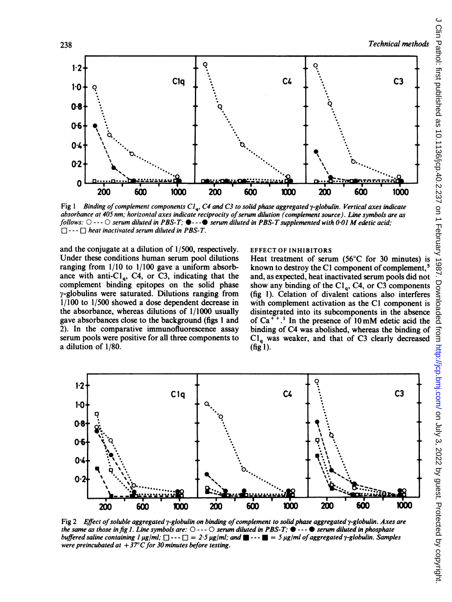

Fig 1 Binding of complement components  $Cl_a$ , C4 and C3 to solid phase aggregated  $\gamma$ -globulin. Vertical axes indicate absorbance at 405 nm; horizontal axes indicate reciprocity of serum dilution (complement source). Line symbols are as follows:  $\bigcirc \cdots \bigcirc$  serum diluted in PBS-T;  $\bigcirc \cdots \bigcirc$  serum diluted in PBS-T supplemented with 0.01 M edetic acid;  $\Box \cdots \Box$  heat inactivated serum diluted in PBS-T.

and the conjugate at a dilution of 1/500, respectively. Under these conditions human serum pool dilutions ranging from 1/10 to 1/100 gave a uniform absorbance with anti-Cl<sub>q</sub>, C4, or C3, indicating that the complement binding epitopes on the solid phase  $\gamma$ -globulins were saturated. Dilutions ranging from 1/100 to 1/500 showed a dose dependent decrease in the absorbance, whereas dilutions of 1/1000 usually gave absorbances close to the background (figs 1 and 2). In the comparative immunofluorescence assay serum pools were positive for all three components to a dilution of 1/80.

#### EFFECT OF INHIBITORS

known to destroy the C1 component of complement.<sup>5</sup> and, as expected, heat inactivated serum pools did not show any binding of the  $Cl<sub>a</sub>$ , C4, or C3 components (fig 1). Celation of divalent cations also interferes with complement activation as the C1 component is disintegrated into its subcomponents in the absence of Ca<sup>++</sup>.<sup>1</sup> In the presence of  $10 \text{ mM}$  edetic acid the binding of C4 was abolished, whereas the binding of  $Cl<sub>a</sub>$  was weaker, and that of C3 clearly decreased (fig 1).



Fig 2 Effect of soluble aggregated  $\gamma$ -globulin on binding of complement to solid phase aggregated  $\gamma$ -globulin. Axes are the same as those in fig 1. Line symbols are:  $\bigcirc$  ---  $\bigcirc$  serum diluted in PBS-T;  $\bullet$  ---  $\bullet$  serum diluted in phosphate buffered saline containing  $I \mu g/ml$ ;  $\Box \cdots \Box = 2.5 \mu g/ml$ ; and  $\Box \cdots \Box = 5 \mu g/ml$  of aggregated y-globulin. Samples were preincubated at  $+37^{\circ}$ C for 30 minutes before testing.